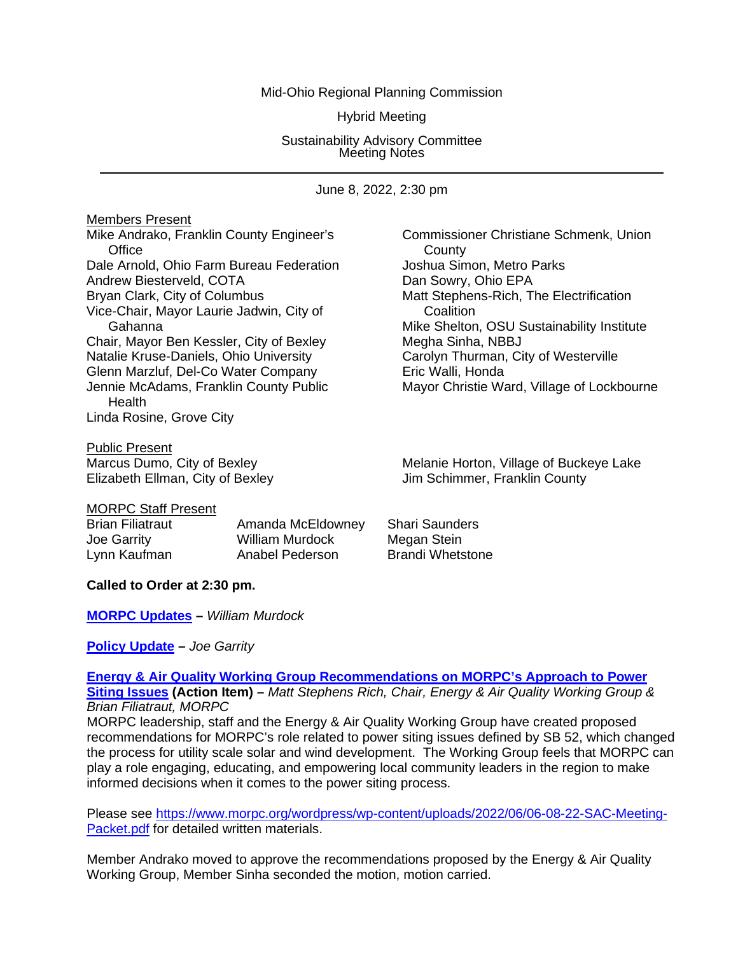#### Mid-Ohio Regional Planning Commission

Hybrid Meeting

Sustainability Advisory Committee Meeting Notes

June 8, 2022, 2:30 pm

Members Present Mike Andrako, Franklin County Engineer's Commissioner Christiane Schmenk, Union Office **County** Dale Arnold, Ohio Farm Bureau Federation Joshua Simon, Metro Parks Andrew Biesterveld, COTA<br>
Bryan Clark, City of Columbus<br>
Bryan Clark, City of Columbus<br>
2008 Vice-Chair, Mayor Laurie Jadwin, City of Coalition Chair, Mayor Ben Kessler, City of Bexley Megha Sinha, NBBJ Natalie Kruse-Daniels, Ohio University **Carolyn Thurman, City of Westerville**<br>Glenn Marzluf, Del-Co Water Company **Carolyn Eric Walli, Honda** Glenn Marzluf, Del-Co Water Company<br>Jennie McAdams, Franklin County Public **Health** Linda Rosine, Grove City

**Public Present**<br>Marcus Dumo, City of Bexley Elizabeth Ellman, City of Bexley

Matt Stephens-Rich, The Electrification Gahanna **Gahanna** Mike Shelton, OSU Sustainability Institute Mayor Christie Ward, Village of Lockbourne

Melanie Horton, Village of Buckeye Lake<br>Jim Schimmer, Franklin County

#### MORPC Staff Present

Brian Filiatraut **Amanda McEldowney** Shari Saunders Joe Garrity William Murdock Megan Stein Lynn Kaufman **Anabel Pederson** Brandi Whetstone

## **Called to Order at 2:30 pm.**

## **[MORPC Updates](https://morpc1-my.sharepoint.com/:v:/g/personal/lkaufman_morpc_org/EdiYhSna0uxFmQsJMRAM2HYB0M_iWESXkHz2CUnWERCbOQ?e=jHTB6L) –** *William Murdock*

## **[Policy Update](https://morpc1-my.sharepoint.com/:v:/g/personal/lkaufman_morpc_org/EaBG3gRU0UlHlCdITeZ2GuYBRD0rrXfjG1fG8WsY5L0sEw?e=rKINQN) –** *Joe Garrity*

## **[Energy & Air Quality Working Group Recommendations on MORPC's Approach to Power](https://morpc1-my.sharepoint.com/:v:/g/personal/lkaufman_morpc_org/EdAK7Avt0sNKlkKOIvOaRBcBwBMUyWG8bbLv1LtOOFtNWA?e=HOjFbc)**

**[Siting Issues](https://morpc1-my.sharepoint.com/:v:/g/personal/lkaufman_morpc_org/EdAK7Avt0sNKlkKOIvOaRBcBwBMUyWG8bbLv1LtOOFtNWA?e=HOjFbc) (Action Item) –** *Matt Stephens Rich, Chair, Energy & Air Quality Working Group & Brian Filiatraut, MORPC*

MORPC leadership, staff and the Energy & Air Quality Working Group have created proposed recommendations for MORPC's role related to power siting issues defined by SB 52, which changed the process for utility scale solar and wind development. The Working Group feels that MORPC can play a role engaging, educating, and empowering local community leaders in the region to make informed decisions when it comes to the power siting process.

Please see [https://www.morpc.org/wordpress/wp-content/uploads/2022/06/06-08-22-SAC-Meeting-](https://www.morpc.org/wordpress/wp-content/uploads/2022/06/06-08-22-SAC-Meeting-Packet.pdf)[Packet.pdf](https://www.morpc.org/wordpress/wp-content/uploads/2022/06/06-08-22-SAC-Meeting-Packet.pdf) for detailed written materials.

Member Andrako moved to approve the recommendations proposed by the Energy & Air Quality Working Group, Member Sinha seconded the motion, motion carried.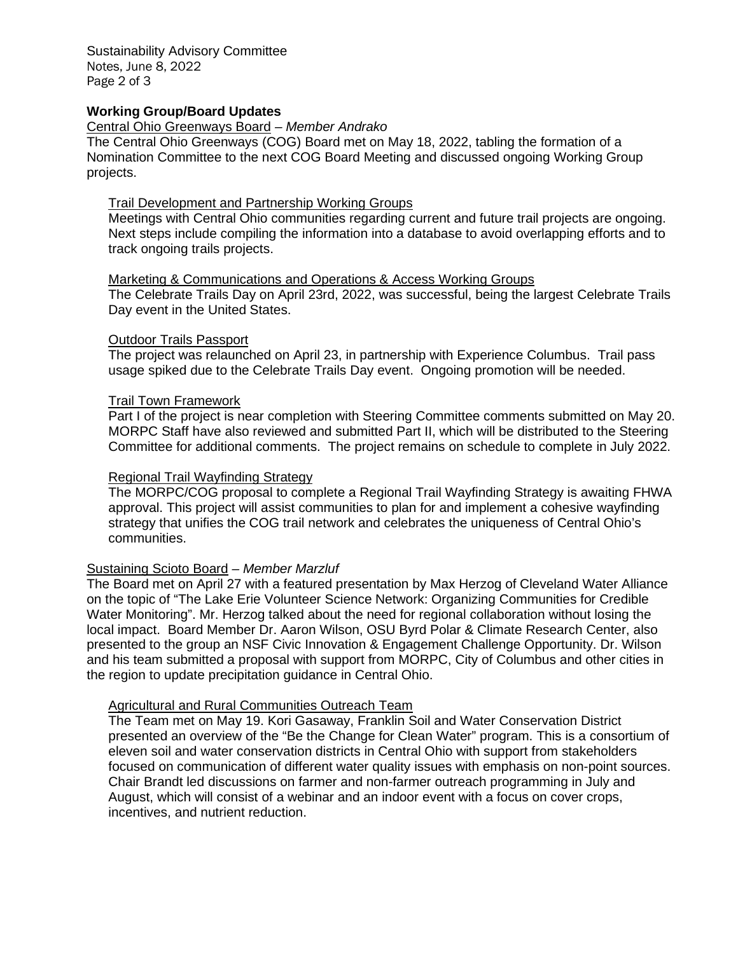Sustainability Advisory Committee Notes, June 8, 2022 Page 2 of 3

## **Working Group/Board Updates**

## Central Ohio Greenways Board *– Member Andrako*

The Central Ohio Greenways (COG) Board met on May 18, 2022, tabling the formation of a Nomination Committee to the next COG Board Meeting and discussed ongoing Working Group projects.

# Trail Development and Partnership Working Groups

Meetings with Central Ohio communities regarding current and future trail projects are ongoing. Next steps include compiling the information into a database to avoid overlapping efforts and to track ongoing trails projects.

#### Marketing & Communications and Operations & Access Working Groups

The Celebrate Trails Day on April 23rd, 2022, was successful, being the largest Celebrate Trails Day event in the United States.

#### Outdoor Trails Passport

The project was relaunched on April 23, in partnership with Experience Columbus. Trail pass usage spiked due to the Celebrate Trails Day event. Ongoing promotion will be needed.

#### Trail Town Framework

Part I of the project is near completion with Steering Committee comments submitted on May 20. MORPC Staff have also reviewed and submitted Part II, which will be distributed to the Steering Committee for additional comments. The project remains on schedule to complete in July 2022.

### Regional Trail Wayfinding Strategy

The MORPC/COG proposal to complete a Regional Trail Wayfinding Strategy is awaiting FHWA approval. This project will assist communities to plan for and implement a cohesive wayfinding strategy that unifies the COG trail network and celebrates the uniqueness of Central Ohio's communities.

## Sustaining Scioto Board *– Member Marzluf*

The Board met on April 27 with a featured presentation by Max Herzog of Cleveland Water Alliance on the topic of "The Lake Erie Volunteer Science Network: Organizing Communities for Credible Water Monitoring". Mr. Herzog talked about the need for regional collaboration without losing the local impact. Board Member Dr. Aaron Wilson, OSU Byrd Polar & Climate Research Center, also presented to the group an NSF Civic Innovation & Engagement Challenge Opportunity. Dr. Wilson and his team submitted a proposal with support from MORPC, City of Columbus and other cities in the region to update precipitation guidance in Central Ohio.

## **Agricultural and Rural Communities Outreach Team**

The Team met on May 19. Kori Gasaway, Franklin Soil and Water Conservation District presented an overview of the "Be the Change for Clean Water" program. This is a consortium of eleven soil and water conservation districts in Central Ohio with support from stakeholders focused on communication of different water quality issues with emphasis on non-point sources. Chair Brandt led discussions on farmer and non-farmer outreach programming in July and August, which will consist of a webinar and an indoor event with a focus on cover crops, incentives, and nutrient reduction.